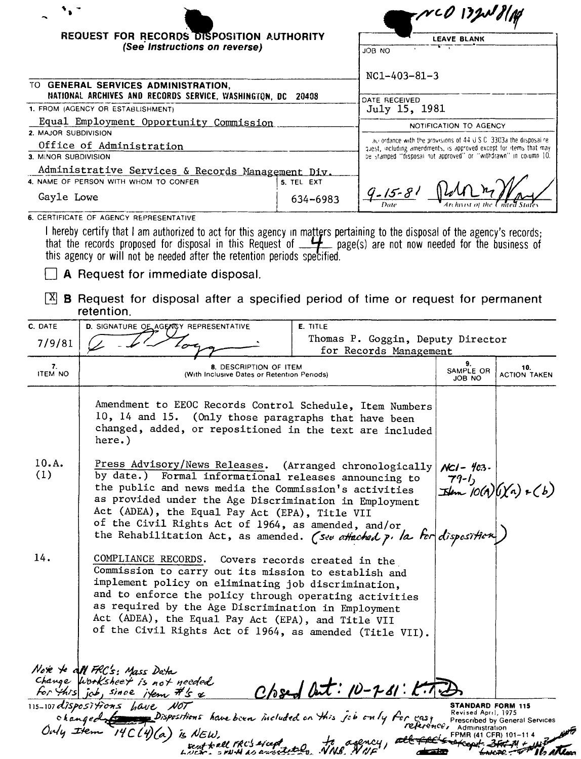|                         | REQUEST FOR RECORDS DISPOSITION AUTHORITY                                                                                                                                                                                                                                                                                                                                                                                                                                                                                                                                                                                                                               |          |                                                                                                                                       | <b>LEAVE BLANK</b>         |                                 |
|-------------------------|-------------------------------------------------------------------------------------------------------------------------------------------------------------------------------------------------------------------------------------------------------------------------------------------------------------------------------------------------------------------------------------------------------------------------------------------------------------------------------------------------------------------------------------------------------------------------------------------------------------------------------------------------------------------------|----------|---------------------------------------------------------------------------------------------------------------------------------------|----------------------------|---------------------------------|
|                         | (See Instructions on reverse)                                                                                                                                                                                                                                                                                                                                                                                                                                                                                                                                                                                                                                           |          | OM ROL                                                                                                                                |                            |                                 |
|                         |                                                                                                                                                                                                                                                                                                                                                                                                                                                                                                                                                                                                                                                                         |          | $NC1 - 403 - 81 - 3$                                                                                                                  |                            |                                 |
|                         | TO GENERAL SERVICES ADMINISTRATION,<br>NATIONAL ARCHIVES AND RECORDS SERVICE, WASHINGTON, DC 20408                                                                                                                                                                                                                                                                                                                                                                                                                                                                                                                                                                      |          |                                                                                                                                       |                            |                                 |
|                         | 1. FROM (AGENCY OR ESTABLISHMENT)                                                                                                                                                                                                                                                                                                                                                                                                                                                                                                                                                                                                                                       |          | DATE RECEIVED<br>July 15, 1981                                                                                                        |                            |                                 |
|                         | Equal Employment Opportunity Commission                                                                                                                                                                                                                                                                                                                                                                                                                                                                                                                                                                                                                                 |          | NOTIFICATION TO AGENCY                                                                                                                |                            |                                 |
| 2. MAJOR SUBDIVISION    |                                                                                                                                                                                                                                                                                                                                                                                                                                                                                                                                                                                                                                                                         |          | accordance with the provisions of $44 \cup S$ C $-3303$ a the disposal re-                                                            |                            |                                 |
| 3. MINOR SUBDIVISION    | Office of Administration                                                                                                                                                                                                                                                                                                                                                                                                                                                                                                                                                                                                                                                |          | quest, including amendments, is approved except for items that may<br>be stamped "disposal not approved" or "withdrawn" in column 10. |                            |                                 |
|                         | Administrative Services & Records Management Div.                                                                                                                                                                                                                                                                                                                                                                                                                                                                                                                                                                                                                       |          |                                                                                                                                       |                            |                                 |
|                         | 4. NAME OF PERSON WITH WHOM TO CONFER<br>5. TEL EXT<br>Gayle Lowe                                                                                                                                                                                                                                                                                                                                                                                                                                                                                                                                                                                                       |          | $9 - 15 - 81$                                                                                                                         |                            |                                 |
|                         | 6. CERTIFICATE OF AGENCY REPRESENTATIVE                                                                                                                                                                                                                                                                                                                                                                                                                                                                                                                                                                                                                                 | 634-6983 |                                                                                                                                       |                            |                                 |
| X <br>C. DATE<br>7/9/81 | A Request for immediate disposal.<br><b>B</b> Request for disposal after a specified period of time or request for permanent<br>retention.<br>D. SIGNATURE OF AGENCY REPRESENTATIVE                                                                                                                                                                                                                                                                                                                                                                                                                                                                                     | E. TITLE | Thomas P. Goggin, Deputy Director                                                                                                     |                            |                                 |
| 7.                      | <b>8. DESCRIPTION OF ITEM</b>                                                                                                                                                                                                                                                                                                                                                                                                                                                                                                                                                                                                                                           |          | for Records Management                                                                                                                | 9.                         | 10.                             |
| <b>ITEM NO</b>          | (With Inclusive Dates or Retention Periods)                                                                                                                                                                                                                                                                                                                                                                                                                                                                                                                                                                                                                             |          |                                                                                                                                       | SAMPLE OR<br>JOB NO        | <b>ACTION TAKEN</b>             |
| 10.A.<br>(1)<br>14.     | Amendment to EEOC Records Control Schedule, Item Numbers<br>10, 14 and 15. (Only those paragraphs that have been<br>changed, added, or repositioned in the text are included<br>here.)<br>Press Advisory/News Releases. (Arranged chronologically<br>by date.) Formal informational releases announcing to<br>the public and news media the Commission's activities<br>as provided under the Age Discrimination in Employment<br>Act (ADEA), the Equal Pay Act (EPA), Title VII<br>of the Civil Rights Act of 1964, as amended, and/or<br>the Rehabilitation Act, as amended. (See attached p. la for disposition)<br>COMPLIANCE RECORDS. Covers records created in the |          |                                                                                                                                       | $NCI - 403 -$<br>$79 - Ij$ | $\exists$ lem 10(A)(1)(A) + (b) |
|                         | Commission to carry out its mission to establish and<br>implement policy on eliminating job discrimination,<br>and to enforce the policy through operating activities<br>as required by the Age Discrimination in Employment<br>Act (ADEA), the Equal Pay Act (EPA), and Title VII                                                                                                                                                                                                                                                                                                                                                                                      |          |                                                                                                                                       |                            |                                 |

Note to all FRC's: Mass Data<br>Change Worksheet is not needed<br>for this job, since item #'s &  $C$ /osed at: 10-7-81: K.T.D 115-107 dispositions have NOT<br>ohanged for pispositions have been included on this job only for easy **STANDARD FORM 115**<br>Revised April, 1975<br>Prescribed by General Services<br>Administration ce Only tiem

of the Civil Rights Act of 1964, as amended (Title VII).

14C(4) (a) is NEW.<br>Entrall FRC's sice of the dency,

FPMR (41 CFR) 101-

 $367 - 74 +$ 

<del>all 74</del>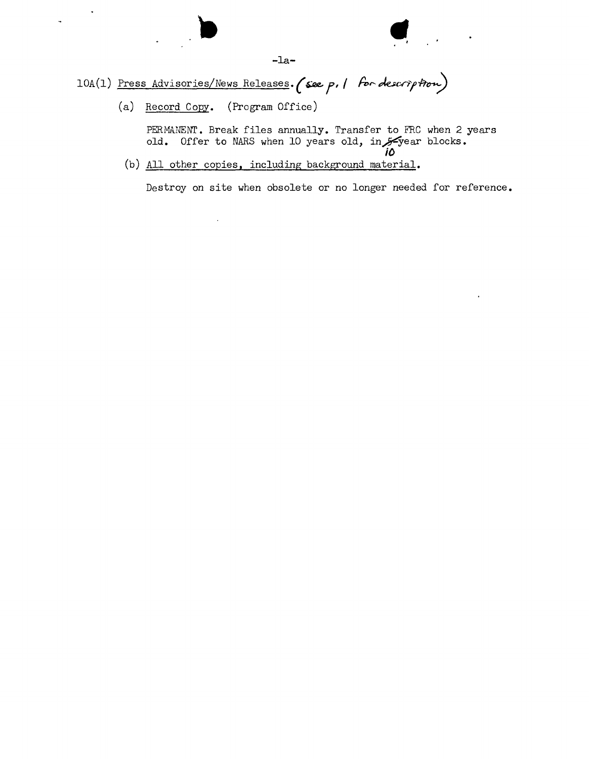••

10A(1) Press Advisories/News Releases. (see p. 1 for description)

(a) Record Copy. (Program Office)

 $\hat{\phantom{a}}$ 

 $\ddot{ }$ 

PERMANENT. Break files annually. Transfer to FRC when 2 years old. Offer to NARS when 10 years old, in $\not$ -year blocks.

*iO* (b) All other copies, including background material.

Destroy on site when obsolete or no longer needed for reference.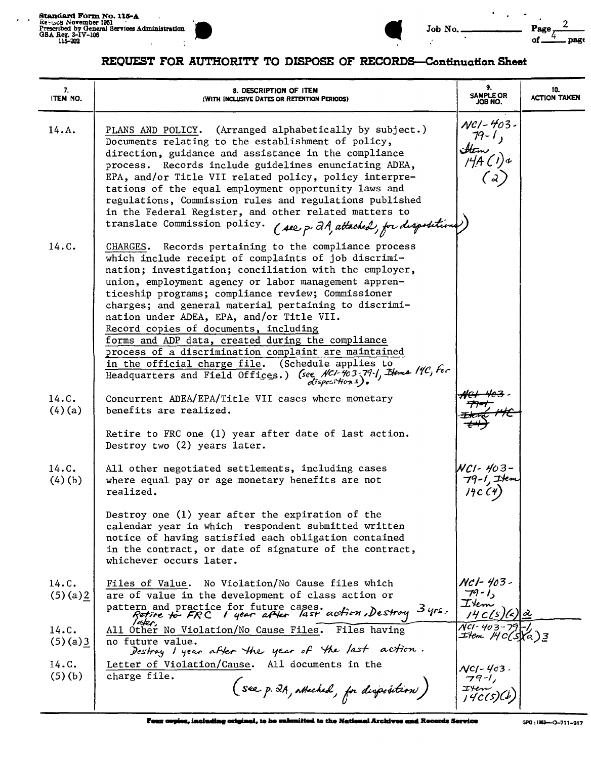Standard Form No. 115-A<br>Respose November 1951<br>Prescribed by General Services Administration<br>GBA Reg. 3-1V-106<br>115-202  $\mathbf{r}$ 

 $\ddot{\phantom{a}}$  $\overline{a}$ 



 $\mathcal{L}$ 

| No. |  |
|-----|--|
|     |  |

 $\mathbf{r}$  $\ddot{\phantom{a}}$  $\overline{a}$ 

 $\overline{2}$ 

page

ʹζ  $of<sub>-</sub>$ 

Page

## REQUEST FOR AUTHORITY TO DISPOSE OF RECORDS-Continuation Sheet

| 7.<br>ITEM NO.   | 8. DESCRIPTION OF ITEM<br>(WITH INCLUSIVE DATES OR RETENTION PERIODS)                                                                                                                                                                                                                                                                                                                                                                                                                                                                                                                                                                                                        | 9.<br><b>SAMPLE OR</b><br>JOB NO.          | 10.<br><b>ACTION TAKEN</b> |
|------------------|------------------------------------------------------------------------------------------------------------------------------------------------------------------------------------------------------------------------------------------------------------------------------------------------------------------------------------------------------------------------------------------------------------------------------------------------------------------------------------------------------------------------------------------------------------------------------------------------------------------------------------------------------------------------------|--------------------------------------------|----------------------------|
| 14.A.            | PLANS AND POLICY. (Arranged alphabetically by subject.)<br>Documents relating to the establishment of policy,<br>direction, guidance and assistance in the compliance<br>process. Records include guidelines enunciating ADEA,<br>EPA, and/or Title VII related policy, policy interpre-<br>tations of the equal employment opportunity laws and<br>regulations, Commission rules and regulations published<br>in the Federal Register, and other related matters to<br>translate Commission policy. (see p. 2A, attached, for disposition                                                                                                                                   | $NCl - 403$<br>$79 - 1,$<br>Htm<br>I4A CI. |                            |
| 14.C.            | CHARGES. Records pertaining to the compliance process<br>which include receipt of complaints of job discrimi-<br>nation; investigation; conciliation with the employer,<br>union, employment agency or labor management appren-<br>ticeship programs; compliance review; Commissioner<br>charges; and general material pertaining to discrimi-<br>nation under ADEA, EPA, and/or Title VII.<br>Record copies of documents, including<br>forms and ADP data, created during the compliance<br>process of a discrimination complaint are maintained<br>in the official charge file. (Schedule applies to<br>Headquarters and Field Offices.) (see NCI-403-79-1, Blems 14C, For |                                            |                            |
| 14.C.<br>(4)(a)  | Concurrent ADEA/EPA/Title VII cases where monetary<br>benefits are realized.<br>Retire to FRC one (1) year after date of last action.<br>Destroy two (2) years later.                                                                                                                                                                                                                                                                                                                                                                                                                                                                                                        |                                            |                            |
| 14.C.<br>(4)(b)  | All other negotiated settlements, including cases<br>where equal pay or age monetary benefits are not<br>realized.<br>Destroy one (1) year after the expiration of the<br>calendar year in which respondent submitted written<br>notice of having satisfied each obligation contained<br>in the contract, or date of signature of the contract,<br>whichever occurs later.                                                                                                                                                                                                                                                                                                   | NCI- 403-                                  |                            |
| 14.C.<br>(5)(a)2 | Files of Value. No Violation/No Cause files which<br>are of value in the development of class action or<br>pattern and practice for future cases.<br>Refine to FRC I year after last action. Destroy 3 yrs.                                                                                                                                                                                                                                                                                                                                                                                                                                                                  | Nc1-403-<br>$79 - 1$<br>Item               |                            |
| 14.C.<br>(5)(a)3 | All Other No Violation/No Cause Files. Files having<br>no future value.<br>Destroy I year after the year of the last action.                                                                                                                                                                                                                                                                                                                                                                                                                                                                                                                                                 | $NCI - 407 -$<br>I'Hem MC(S)(a)3           |                            |
| 14.C.<br>(5)(b)  | Letter of Violation/Cause. All documents in the<br>charge file.<br>(see p. 2A, attached, for disposition)                                                                                                                                                                                                                                                                                                                                                                                                                                                                                                                                                                    | $NCI - 403$ .                              |                            |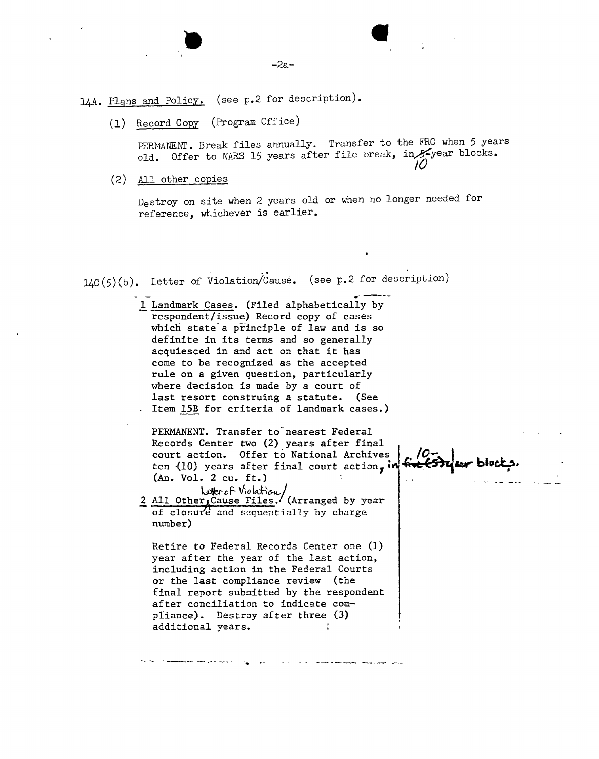l4A. Plans and Policy. (see p.2 for description).

(1) Record Copy (Program Office,

**•** 

PERMANENT. Break files annually. Transfer to the FRC when 5 years old. Offer to NARS 15 years after file break, in 5-year blocks.<br>10

(2) All other copies

Destroy on site when 2 years old or when no longer needed for reference, whichever is earlier.

 $1/2C(5)(b)$ . Letter of Violation  $\frac{1}{2}$  ,  $\frac{1}{2}$  ,  $\frac{1}{2}$  ,  $\frac{1}{2}$  ,  $\frac{1}{2}$  ,  $\frac{1}{2}$  ,  $\frac{1}{2}$  ,  $\frac{1}{2}$  ,  $\frac{1}{2}$  ,  $\frac{1}{2}$  ,  $\frac{1}{2}$  ,  $\frac{1}{2}$  ,  $\frac{1}{2}$  ,  $\frac{1}{2}$  ,  $\frac{1}{2}$  ,  $\frac{1}{2}$  ,  $\frac{1}{2}$  ,  $\frac{1}{2}$  ,  $\frac{1$ Letter of Violation/Cause. (see p.2 for description)

> 1 Landmark Cases. (Filed alphabetically by respondent/issue) Record copy of cases which state a principle of law and is so definite in its terms and so generally acquiesced in and act on that it has come to be recognized as the accepted rule on a given question, particularly where decision is made by a court of last resort construing a statute. (See Item l5B for criteria of landmark cases.)

PERMANENT. Transfer to-nearest Federal Records Center two (2) years after final court action. Offer to National Archives ten (10) years after final court action,  $:$ (An. Vol. 2 cu. ft.)

*<u>2 All Other <sub>A</sub>Cause Files</u>. (Arranged by year* of closure and sequentially by chargenumber)

Retire to Federal Records Center one (1) year after the year of the last action, including action in the Federal Courts or the last compliance review (the final report submitted by the respondent after conciliation to indicate compliance). Destroy after three (3) additional years.

*- - ~ ---- ...or-.-- -- ..* # -. - - \_. - \_ ~~ \_\_. ~\_~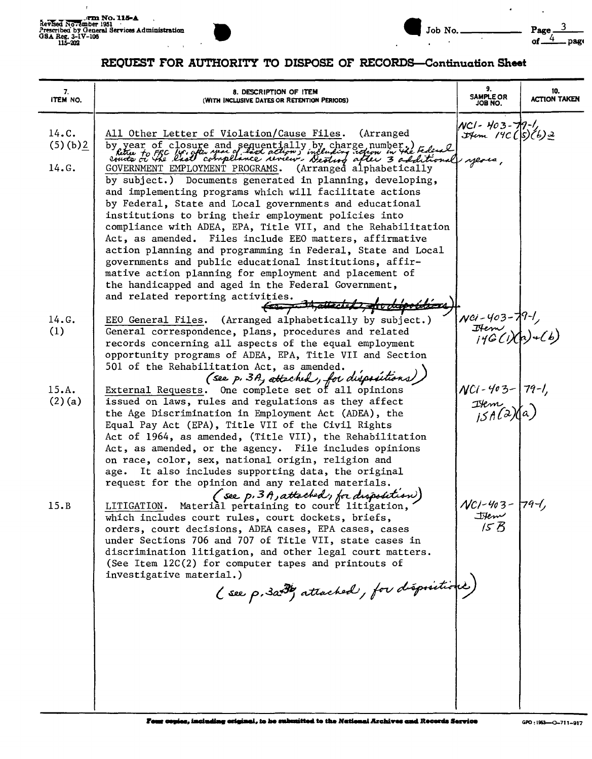

 $\ddot{\phantom{a}}$ 

 $\lambda$ 

## REQUEST FOR AUTHORITY TO DISPOSE OF RECORDS-Continuation Sheet

| 7.<br>ITEM NO.   | 8. DESCRIPTION OF ITEM<br>(WITH INCLUSIVE DATES OR RETENTION PERIODS)                                                                                                                                                                                                                                                                                                                                                                                                                                                                                                                                                                                                                                             | 9.<br><b>SAMPLE OR</b><br>JOB NO.                           | 10.<br><b>ACTION TAKEN</b> |
|------------------|-------------------------------------------------------------------------------------------------------------------------------------------------------------------------------------------------------------------------------------------------------------------------------------------------------------------------------------------------------------------------------------------------------------------------------------------------------------------------------------------------------------------------------------------------------------------------------------------------------------------------------------------------------------------------------------------------------------------|-------------------------------------------------------------|----------------------------|
| 14.C.<br>(5)(b)2 | All Other Letter of Violation/Cause Files.<br>(Arranged)<br>by year of closure and sequentially by charge number.)<br>hetter to FRC 14° gotes year of hird action, including votion in the telesal                                                                                                                                                                                                                                                                                                                                                                                                                                                                                                                | NCI-403-79-1,<br>$H_{\text{t}}$ /9C ( $\frac{s}{b}$ ) (b) 2 |                            |
| 14.G.            | (Arranged alphabetically<br>GOVERNMENT EMPLOYMENT PROGRAMS.<br>by subject.) Documents generated in planning, developing,<br>and implementing programs which will facilitate actions<br>by Federal, State and Local governments and educational<br>institutions to bring their employment policies into<br>compliance with ADEA, EPA, Title VII, and the Rehabilitation<br>Act, as amended. Files include EEO matters, affirmative<br>action planning and programming in Federal, State and Local<br>governments and public educational institutions, affir-<br>mative action planning for employment and placement of<br>the handicapped and aged in the Federal Government,<br>and related reporting activities. |                                                             |                            |
| 14.G.<br>(1)     | EEO General Files. (Arranged alphabetically by subject.)<br>General correspondence, plans, procedures and related<br>records concerning all aspects of the equal employment<br>opportunity programs of ADEA, EPA, Title VII and Section<br>501 of the Rehabilitation Act, as amended.<br>(see p. 3A, attached, for dispositions                                                                                                                                                                                                                                                                                                                                                                                   | NCI-403-79-1,<br>IHem<br>j4GCi)(A)+(b)                      |                            |
| 15.A.<br>(2)(a)  | External Requests. One complete set of all opinions<br>issued on laws, rules and regulations as they affect<br>the Age Discrimination in Employment Act (ADEA), the<br>Equal Pay Act (EPA), Title VII of the Civil Rights<br>Act of 1964, as amended, (Title VII), the Rehabilitation<br>Act, as amended, or the agency. File includes opinions<br>on race, color, sex, national origin, religion and<br>age. It also includes supporting data, the original<br>request for the opinion and any related materials.                                                                                                                                                                                                | $NCi - 403 - 79 - 1,$<br>Item<br>$15A(2)(a)$                |                            |
| 15.B             | [See p. 3 A, attached, for disposition]<br>LITIGATION. Material pertaining to court litigation,<br>which includes court rules, court dockets, briefs,<br>orders, court decisions, ADEA cases, EPA cases, cases<br>under Sections 706 and 707 of Title VII, state cases in<br>discrimination litigation, and other legal court matters.<br>(See Item 12C(2) for computer tapes and printouts of<br>investigative material.)<br>(see p. 3a+3by attached, for dispositions)                                                                                                                                                                                                                                          | NCI-403-79-L<br>them<br>15B                                 |                            |
|                  | Four copies, including original, to he submitted to the National Archives and Records Service                                                                                                                                                                                                                                                                                                                                                                                                                                                                                                                                                                                                                     |                                                             | GPO: 1963-0-711-917        |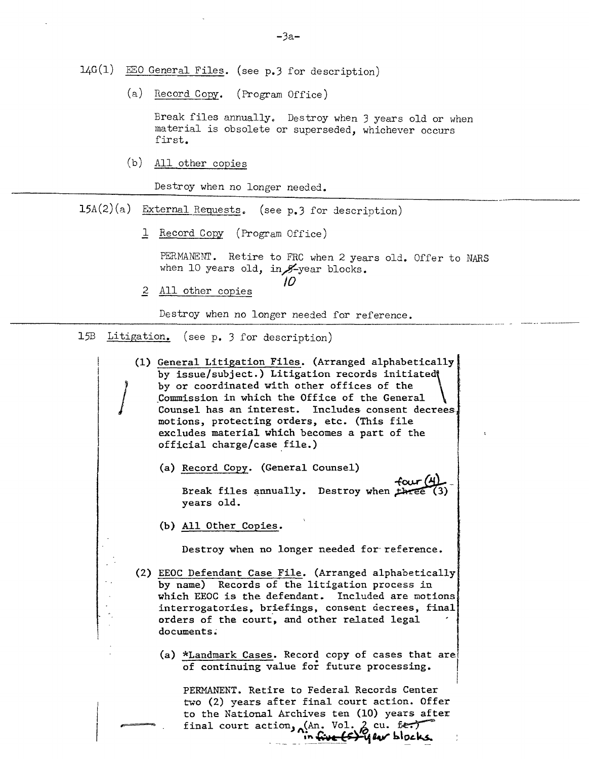$14G(1)$  EEO General Files. (see p.3 for description)

(a) Record Copy. (Program Office)

Break files annually. Destroy when 3 years old or when material is obsolete or superseded, whichever occurs first.

(b) All other copies

Destroy when no longer needed.

- $15A(2)(a)$  External Requests. (see p.3 for description)
	- 1 Record Copy (Program Office)

PERMANENT. Retire to FRC when 2 years old. Offer to NARS when 10 years old, in  $#$ -year blocks.

2 All other copies

Destroy when no longer needed for reference.

*10*

15B Litigation. (see p. 3 for description)

*J*

(1) General Litigation Files. (Arranged alphabetically by issue/subject.) Litigation records initiated by or coordinated with other offices of the \_Commission in which the Office of the General Counsel has an interest. Includes consent decreesmotions, protecting orders, etc. (This file excludes material which becomes a part of the official charge/case\_file.)

(a) Record Copy. (General Counsel)

 $f_{\alpha}$   $f_{\alpha}$   $f_{\alpha}$   $f_{\alpha}$   $f_{\alpha}$   $f_{\alpha}$   $f_{\alpha}$   $f_{\alpha}$   $f_{\alpha}$   $f_{\alpha}$   $f_{\alpha}$   $f_{\alpha}$   $f_{\alpha}$   $f_{\alpha}$   $f_{\alpha}$   $f_{\alpha}$   $f_{\alpha}$   $f_{\alpha}$   $f_{\alpha}$   $f_{\alpha}$   $f_{\alpha}$   $f_{\alpha}$   $f_{\alpha}$   $f_{\alpha}$   $f_{\alpha}$   $f_{\alpha}$   $f_{\alpha}$   $f_{\alpha$ years old.

(b) All Other Copies.

Destroy when no longer needed for reference.

- (2) EEOC Defendant Case File. (Arranged alphabetically by name) Records of the litigation process in which EEOC is the defendant. Included are motions interrogatories, briefings, consent decrees, final orders of the court, and other related legal documents:
	- (a) \*Landmark Cases. Record copy of cases that are! of continuing value for future processing.

PERMANENT. Retire to Federal Records Center two (2) years after final court action. Offer to the National Archives ten (10) years after final court action, (An. Vol. 2 cu. fer.) *\_\_\_\_\_\_~~~\_~:J~'11V b.\~L~*

I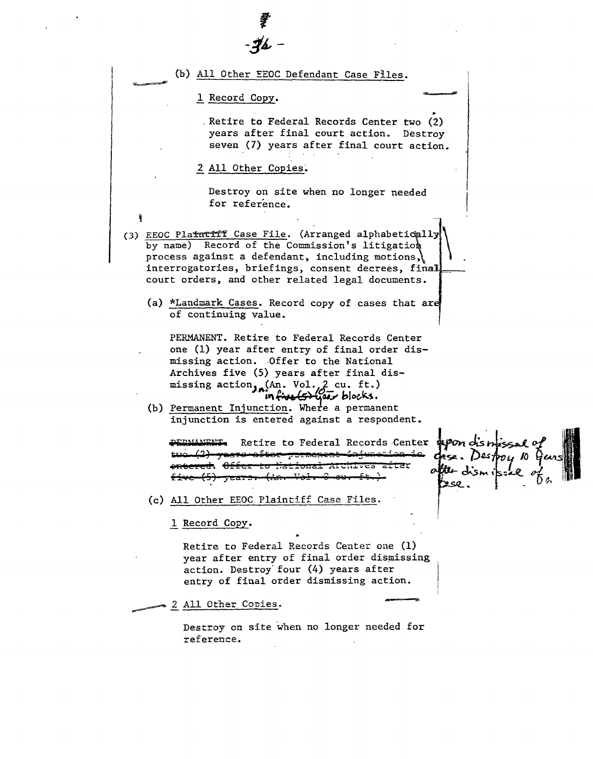| 章<br>女/                                                                                                                                                                                                                                                                                                                                           |
|---------------------------------------------------------------------------------------------------------------------------------------------------------------------------------------------------------------------------------------------------------------------------------------------------------------------------------------------------|
|                                                                                                                                                                                                                                                                                                                                                   |
| (b) All Other EEOC Defendant Case Files.                                                                                                                                                                                                                                                                                                          |
| 1 Record Copy.                                                                                                                                                                                                                                                                                                                                    |
| Retire to Federal Records Center two (2)<br>years after final court action.<br>Destroy<br>seven (7) years after final court action.                                                                                                                                                                                                               |
| 2 All Other Copies.                                                                                                                                                                                                                                                                                                                               |
| Destroy on site when no longer needed<br>for reference.                                                                                                                                                                                                                                                                                           |
| (3) EEOC Platmenti Case File. (Arranged alphabetically<br>by name) Record of the Commission's litigation<br>process against a defendant, including motions,<br>interrogatories, briefings, consent decrees, final<br>court orders, and other related legal documents.                                                                             |
| (a) *Landmark Cases. Record copy of cases that are<br>of continuing value.                                                                                                                                                                                                                                                                        |
| PERMANENT. Retire to Federal Records Center<br>one (1) year after entry of final order dis-<br>missing action. Offer to the National<br>Archives five (5) years after final dis-<br>missing action, (An. Vol., 2 cu. ft.)<br>infinaltorisar blocks.<br>(b) Permanent Injunction. Where a permanent<br>injunction is entered against a respondent. |
| Retire to Federal Records Center \$POM of strics al o<br><del>fter-strmenen</del>                                                                                                                                                                                                                                                                 |
| (c) All Other EEOC Plaintiff Case Files.                                                                                                                                                                                                                                                                                                          |
| 1 Record Copy.                                                                                                                                                                                                                                                                                                                                    |
| Retire to Federal Records Center one (1)<br>year after entry of final order dismissing<br>action. Destroy four (4) years after<br>entry of final order dismissing action.                                                                                                                                                                         |
| 2 All Other Copies.                                                                                                                                                                                                                                                                                                                               |
| Destroy on site when no longer needed for<br>reference.                                                                                                                                                                                                                                                                                           |
|                                                                                                                                                                                                                                                                                                                                                   |

 $\frac{1}{2} \left( \frac{1}{2} \right)^2$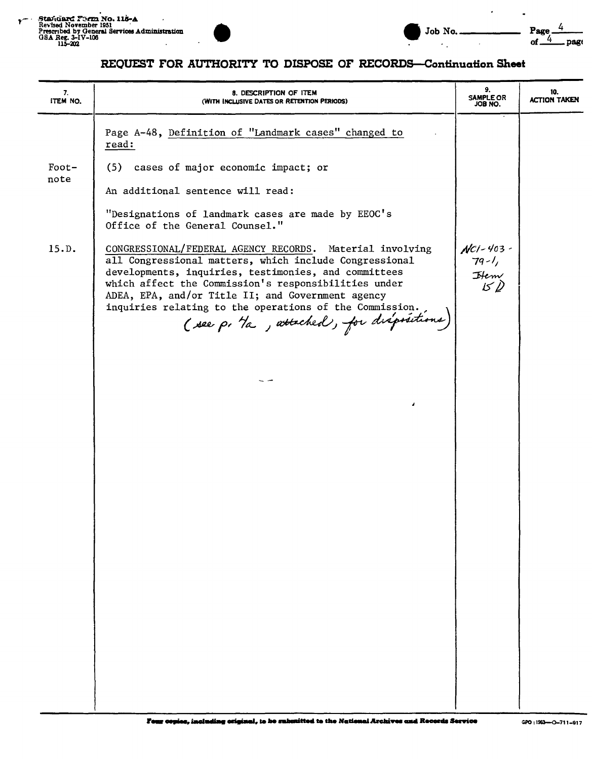



 $\mathcal{L}^{\pm}$ 

 $\ddot{\phantom{a}}$ 

 $\ddot{\phantom{0}}$ 

## REQUEST FOR AUTHORITY TO DISPOSE OF RECORDS-Continuation Sheet

| 7.<br>ITEM NO. | 8. DESCRIPTION OF ITEM<br>(WITH INCLUSIVE DATES OR RETENTION PERIODS)                                                                                                                                                                                                                                                                                                                         | 9.<br><b>SAMPLE OR</b><br>JOB NO.                       | 10.<br><b>ACTION TAKEN</b> |
|----------------|-----------------------------------------------------------------------------------------------------------------------------------------------------------------------------------------------------------------------------------------------------------------------------------------------------------------------------------------------------------------------------------------------|---------------------------------------------------------|----------------------------|
|                | Page A-48, Definition of "Landmark cases" changed to<br>read:                                                                                                                                                                                                                                                                                                                                 |                                                         |                            |
| $Foot-$        | (5) cases of major economic impact; or                                                                                                                                                                                                                                                                                                                                                        |                                                         |                            |
| note           | An additional sentence will read:                                                                                                                                                                                                                                                                                                                                                             |                                                         |                            |
|                | "Designations of landmark cases are made by EEOC's<br>Office of the General Counsel."                                                                                                                                                                                                                                                                                                         |                                                         |                            |
| 15.D.          | CONGRESSIONAL/FEDERAL AGENCY RECORDS. Material involving<br>all Congressional matters, which include Congressional<br>developments, inquiries, testimonies, and committees<br>which affect the Commission's responsibilities under<br>ADEA, EPA, and/or Title II; and Government agency<br>inquiries relating to the operations of the Commission.<br>(see p. 1a, attached), for dispositions | $NCI - 403 -$<br>$79 - 1,$<br>$H_{\text{env}}$<br>$150$ |                            |
|                |                                                                                                                                                                                                                                                                                                                                                                                               |                                                         |                            |
|                |                                                                                                                                                                                                                                                                                                                                                                                               |                                                         |                            |
|                |                                                                                                                                                                                                                                                                                                                                                                                               |                                                         |                            |
|                |                                                                                                                                                                                                                                                                                                                                                                                               |                                                         |                            |
|                |                                                                                                                                                                                                                                                                                                                                                                                               |                                                         |                            |
|                |                                                                                                                                                                                                                                                                                                                                                                                               |                                                         |                            |
|                |                                                                                                                                                                                                                                                                                                                                                                                               |                                                         |                            |
|                |                                                                                                                                                                                                                                                                                                                                                                                               |                                                         |                            |
|                |                                                                                                                                                                                                                                                                                                                                                                                               |                                                         |                            |
|                |                                                                                                                                                                                                                                                                                                                                                                                               |                                                         |                            |
|                |                                                                                                                                                                                                                                                                                                                                                                                               |                                                         |                            |
|                |                                                                                                                                                                                                                                                                                                                                                                                               |                                                         |                            |
|                |                                                                                                                                                                                                                                                                                                                                                                                               |                                                         |                            |
|                |                                                                                                                                                                                                                                                                                                                                                                                               |                                                         |                            |
|                |                                                                                                                                                                                                                                                                                                                                                                                               |                                                         |                            |